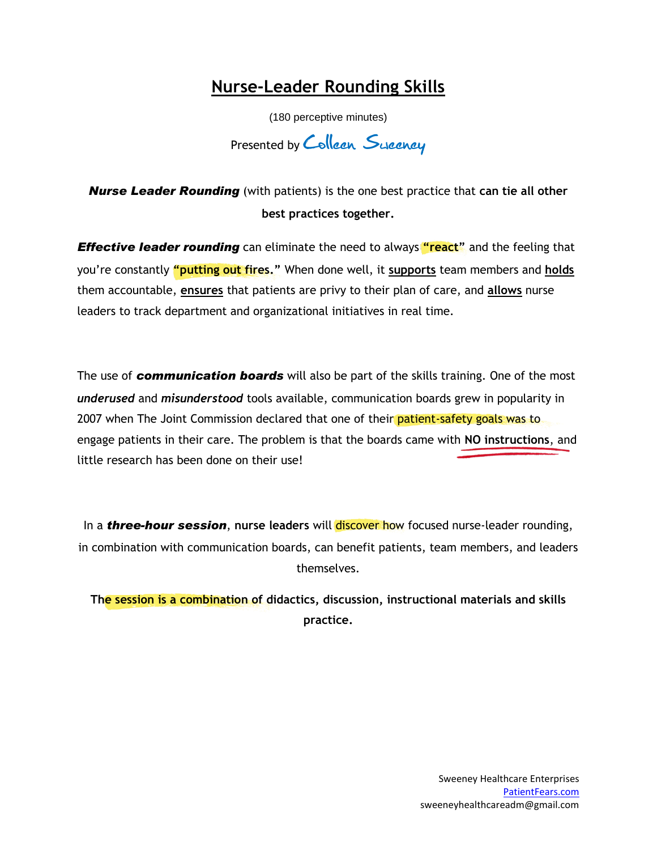## **Nurse-Leader Rounding Skills**

(180 perceptive minutes)

Presented by Collean Sycancy

*Nurse Leader Rounding* (with patients) is the one best practice that **can tie all other best practices together.**

*Effective leader rounding* can eliminate the need to always "react" and the feeling that you're constantly **"putting out fires."** When done well, it **supports** team members and **holds** them accountable, **ensures** that patients are privy to their plan of care, and **allows** nurse leaders to track department and organizational initiatives in real time.

The use of *communication boards* will also be part of the skills training. One of the most *underused* and *misunderstood* tools available, communication boards grew in popularity in 2007 when The Joint Commission declared that one of their patient-safety goals was to engage patients in their care. The problem is that the boards came with **NO instructions**, and little research has been done on their use!

In a **three-hour session**, nurse leaders will discover how focused nurse-leader rounding, in combination with communication boards, can benefit patients, team members, and leaders themselves.

**The session is a combination of didactics, discussion, instructional materials and skills practice.**